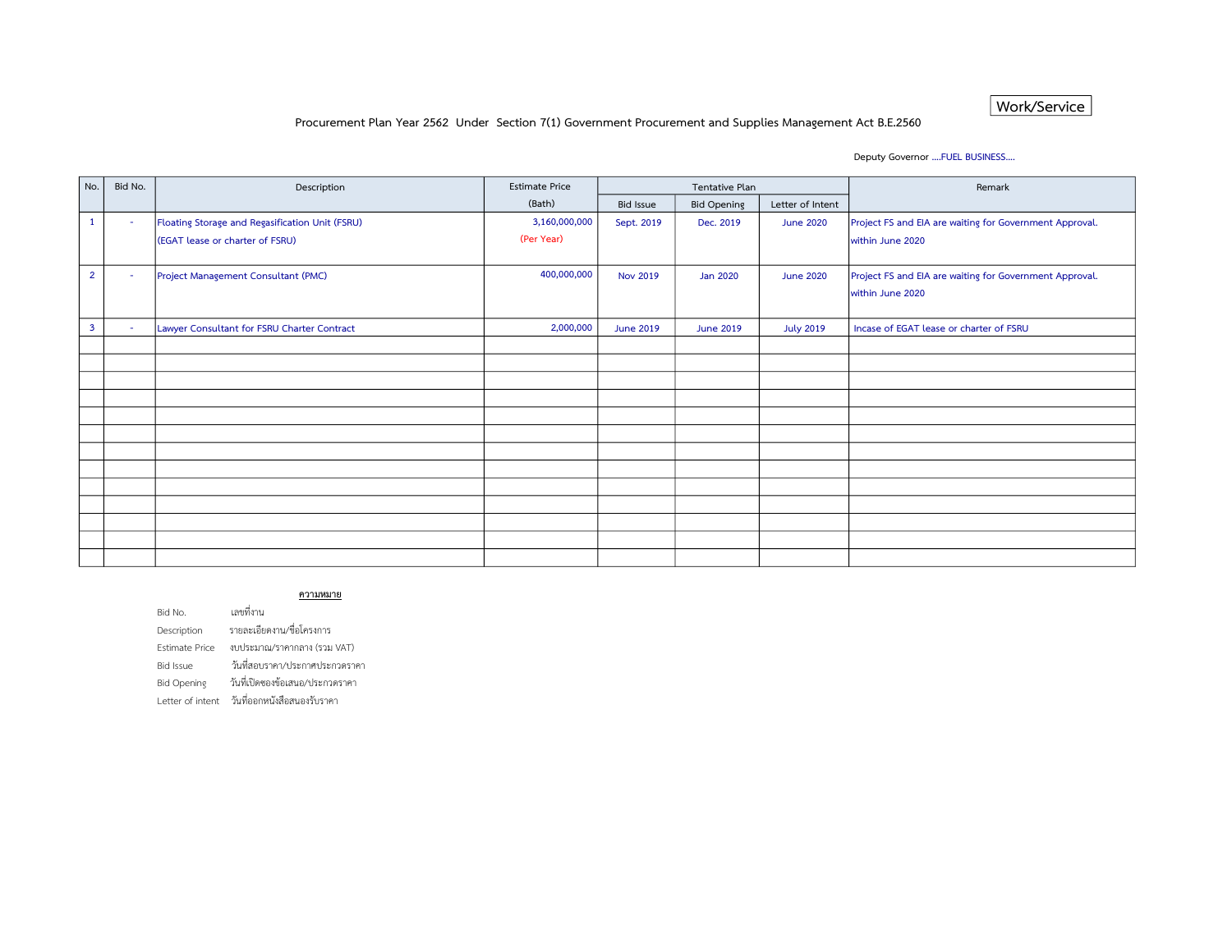### Work/Service

### Procurement Plan Year 2562 Under Section 7(1) Government Procurement and Supplies Management Act B.E.2560

### Deputy Governor ….FUEL BUSINESS….

| No.            | Bid No. | Description                                     | <b>Estimate Price</b> | Tentative Plan   |                    |                  | Remark                                                  |
|----------------|---------|-------------------------------------------------|-----------------------|------------------|--------------------|------------------|---------------------------------------------------------|
|                |         |                                                 | (Bath)                | <b>Bid Issue</b> | <b>Bid Opening</b> | Letter of Intent |                                                         |
| $\mathbf{1}$   | $\sim$  | Floating Storage and Regasification Unit (FSRU) | 3,160,000,000         | Sept. 2019       | Dec. 2019          | <b>June 2020</b> | Project FS and EIA are waiting for Government Approval. |
|                |         | (EGAT lease or charter of FSRU)                 | (Per Year)            |                  |                    |                  | within June 2020                                        |
|                |         |                                                 |                       |                  |                    |                  |                                                         |
| $\overline{2}$ | $\sim$  | Project Management Consultant (PMC)             | 400,000,000           | <b>Nov 2019</b>  | <b>Jan 2020</b>    | <b>June 2020</b> | Project FS and EIA are waiting for Government Approval. |
|                |         |                                                 |                       |                  |                    |                  | within June 2020                                        |
|                |         |                                                 |                       |                  |                    |                  |                                                         |
| $\mathbf{3}$   | ۰.      | Lawyer Consultant for FSRU Charter Contract     | 2,000,000             | <b>June 2019</b> | <b>June 2019</b>   | <b>July 2019</b> | Incase of EGAT lease or charter of FSRU                 |
|                |         |                                                 |                       |                  |                    |                  |                                                         |
|                |         |                                                 |                       |                  |                    |                  |                                                         |
|                |         |                                                 |                       |                  |                    |                  |                                                         |
|                |         |                                                 |                       |                  |                    |                  |                                                         |
|                |         |                                                 |                       |                  |                    |                  |                                                         |
|                |         |                                                 |                       |                  |                    |                  |                                                         |
|                |         |                                                 |                       |                  |                    |                  |                                                         |
|                |         |                                                 |                       |                  |                    |                  |                                                         |
|                |         |                                                 |                       |                  |                    |                  |                                                         |
|                |         |                                                 |                       |                  |                    |                  |                                                         |
|                |         |                                                 |                       |                  |                    |                  |                                                         |
|                |         |                                                 |                       |                  |                    |                  |                                                         |
|                |         |                                                 |                       |                  |                    |                  |                                                         |

#### ความหมาย

Bid No. เลขที่งาน Description รายละเอียดงาน/ชื่อโครงการ Estimate Price งบประมาณ/ราคากลาง (รวม VAT) Bid Issue วนั ที่สอบราคา/ประกาศประกวดราคา Bid Opening วันที่เปิดซองข้อเสนอ/ประกวดราคา Letter of intent วันที่ออกหนังสือสนองรับราคา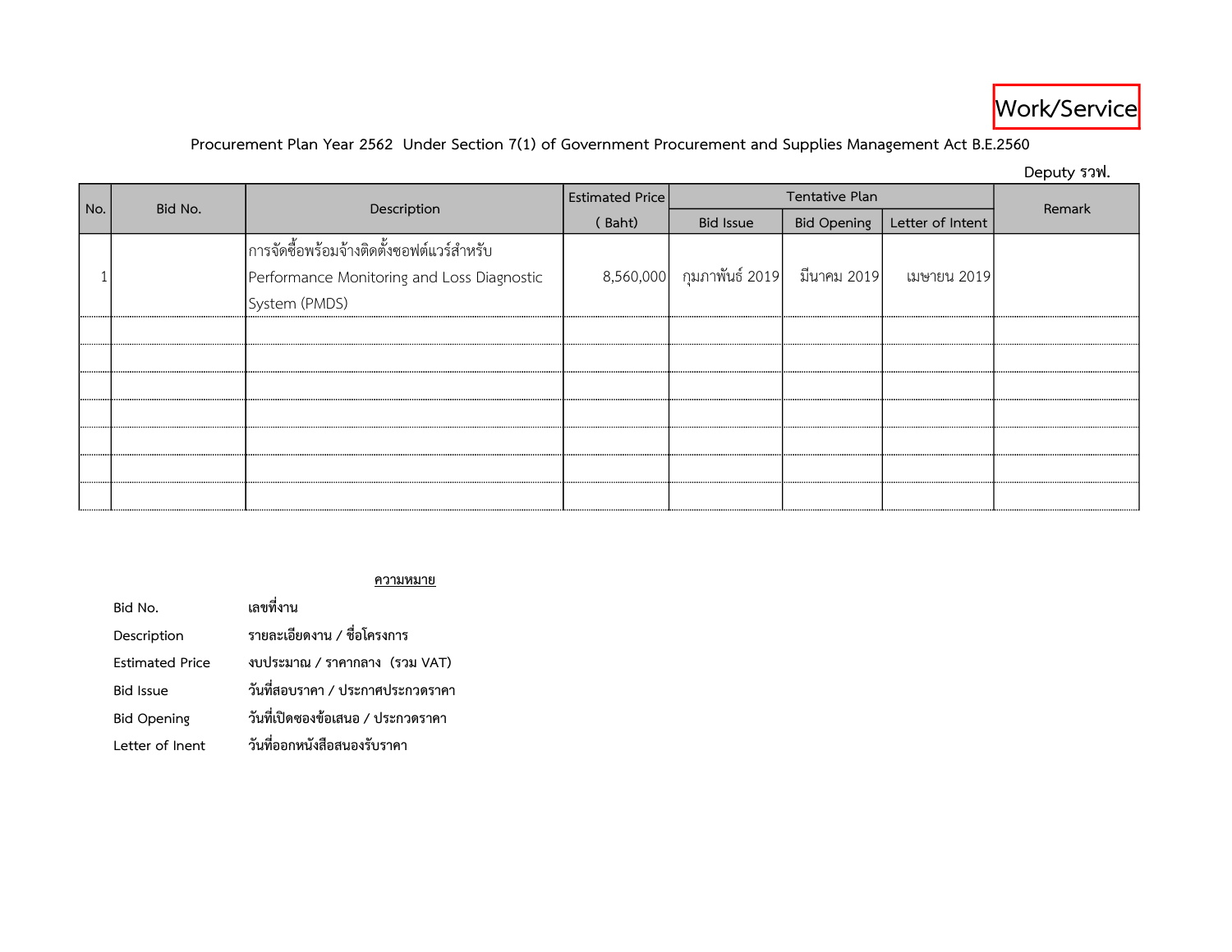

# Procurement Plan Year 2562 Under Section 7(1) of Government Procurement and Supplies Management Act B.E.2560

Deputy รวฟ.

| No. | Bid No. |                                                                                                          | <b>Estimated Price</b> | Tentative Plan                                                                     |                    |                  | Remark |
|-----|---------|----------------------------------------------------------------------------------------------------------|------------------------|------------------------------------------------------------------------------------|--------------------|------------------|--------|
|     |         | Description                                                                                              | (Baht)                 | <b>Bid Issue</b>                                                                   | <b>Bid Opening</b> | Letter of Intent |        |
|     |         | การจัดซื้อพร้อมจ้างติดตั้งซอฟต์แวร์สำหรับ<br>Performance Monitoring and Loss Diagnostic<br>System (PMDS) |                        | $\mid 8,560,000 \mid$ กุมภาพันธ์ 2019 $\mid$ มีนาคม 2019 $\mid$ เมษายน 2019 $\mid$ |                    |                  |        |
|     |         |                                                                                                          |                        |                                                                                    |                    |                  |        |
|     |         |                                                                                                          |                        |                                                                                    |                    |                  |        |
|     |         |                                                                                                          |                        |                                                                                    |                    |                  |        |
|     |         |                                                                                                          |                        |                                                                                    |                    |                  |        |
|     |         |                                                                                                          |                        |                                                                                    |                    |                  |        |
|     |         |                                                                                                          |                        |                                                                                    |                    |                  |        |
|     |         |                                                                                                          |                        |                                                                                    |                    |                  |        |

### ความหมาย

| Bid No.                | เลขที่งาน                         |
|------------------------|-----------------------------------|
| Description            | รายละเอียดงาน / ชื่อโครงการ       |
| <b>Estimated Price</b> | งบประมาณ / ราคากลาง (รวม VAT)     |
| <b>Bid Issue</b>       | วันที่สอบราคา / ประกาศประกวดราคา  |
| <b>Bid Opening</b>     | วันที่เปิดซองข้อเสนอ / ประกวดราคา |
| Letter of Inent        | วันที่ออกหนังสือสนองรับราคา       |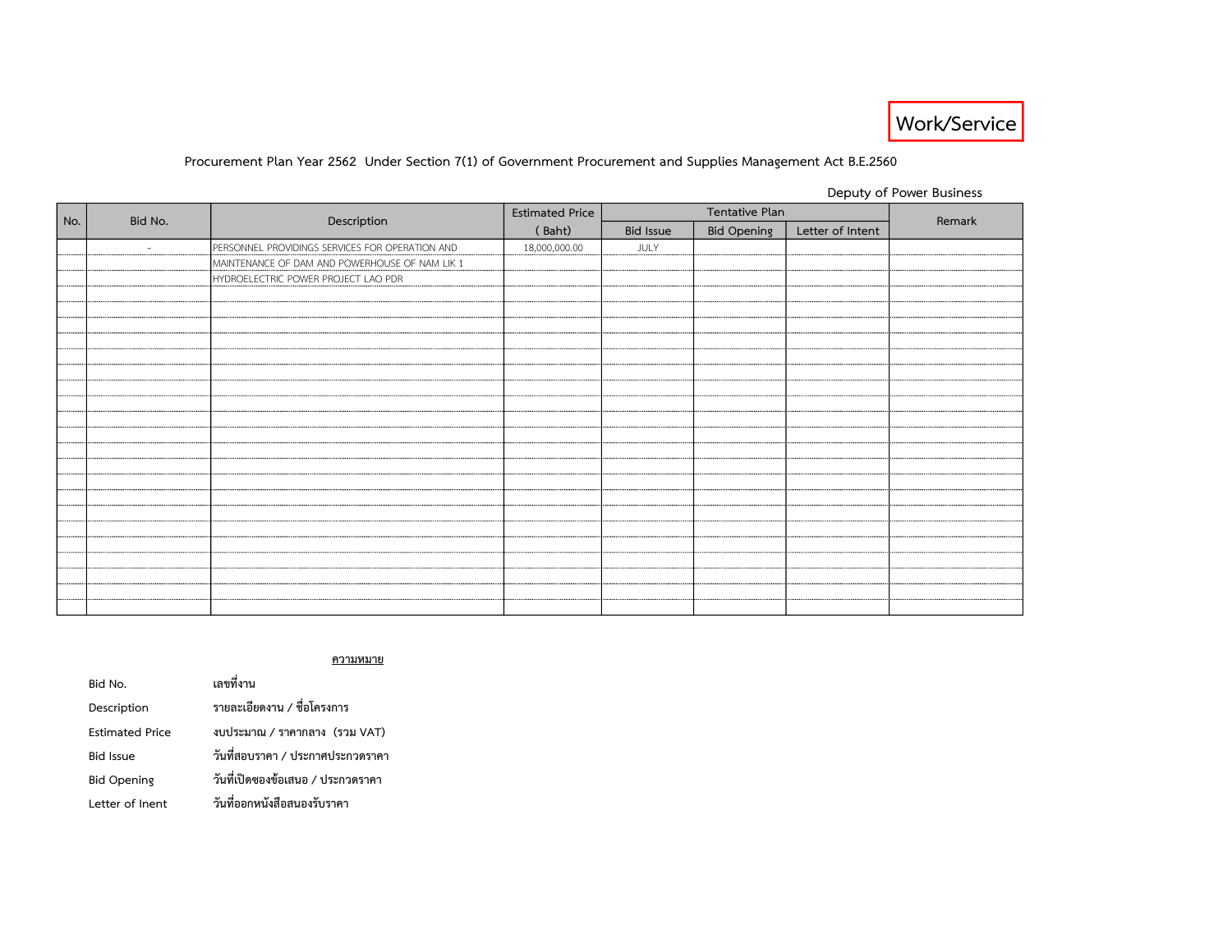

### Procurement Plan Year 2562 Under Section 7(1) of Government Procurement and Supplies Management Act B.E.2560

Deputy of Power Business

|     |         |                                                 | <b>Estimated Price</b><br>Tentative Plan |                  |                    | Remark           |  |
|-----|---------|-------------------------------------------------|------------------------------------------|------------------|--------------------|------------------|--|
| No. | Bid No. | Description                                     | (Baht)                                   | <b>Bid Issue</b> | <b>Bid Opening</b> | Letter of Intent |  |
|     | $\sim$  | PERSONNEL PROVIDINGS SERVICES FOR OPERATION AND | 18,000,000.00                            | JULY             |                    |                  |  |
|     |         | MAINTENANCE OF DAM AND POWERHOUSE OF NAM LIK 1  |                                          |                  |                    |                  |  |
|     |         | HYDROELECTRIC POWER PROJECT LAO PDR             |                                          |                  |                    |                  |  |
|     |         |                                                 |                                          |                  |                    |                  |  |
|     |         |                                                 |                                          |                  |                    |                  |  |
|     |         |                                                 |                                          |                  |                    |                  |  |
|     |         |                                                 |                                          |                  |                    |                  |  |
|     |         |                                                 |                                          |                  |                    |                  |  |
|     |         |                                                 |                                          |                  |                    |                  |  |
|     |         |                                                 |                                          |                  |                    |                  |  |
|     |         |                                                 |                                          |                  |                    |                  |  |
|     |         |                                                 |                                          |                  |                    |                  |  |
|     |         |                                                 |                                          |                  |                    |                  |  |
|     |         |                                                 |                                          |                  |                    |                  |  |
|     |         |                                                 |                                          |                  |                    |                  |  |
|     |         |                                                 |                                          |                  |                    |                  |  |
|     |         |                                                 |                                          |                  |                    |                  |  |
|     |         |                                                 |                                          |                  |                    |                  |  |
|     |         |                                                 |                                          |                  |                    |                  |  |
|     |         |                                                 |                                          |                  |                    |                  |  |
|     |         |                                                 |                                          |                  |                    |                  |  |
|     |         |                                                 |                                          |                  |                    |                  |  |
|     |         |                                                 |                                          |                  |                    |                  |  |
|     |         |                                                 |                                          |                  |                    |                  |  |

ความหมาย

| Bid No.                | เลขที่งาน                         |  |  |  |  |
|------------------------|-----------------------------------|--|--|--|--|
| Description            | รายละเอียดงาน / ชื่อโครงการ       |  |  |  |  |
| <b>Estimated Price</b> | งบประมาณ / ราคากลาง (รวม VAT)     |  |  |  |  |
| <b>Bid Issue</b>       | วันที่สอบราคา / ประกาศประกวดราคา  |  |  |  |  |
| <b>Bid Opening</b>     | วันที่เปิดซองข้อเสนอ / ประกวดราคา |  |  |  |  |
| Letter of Inent        | วันที่ออกหนังสือสนองรับราคา       |  |  |  |  |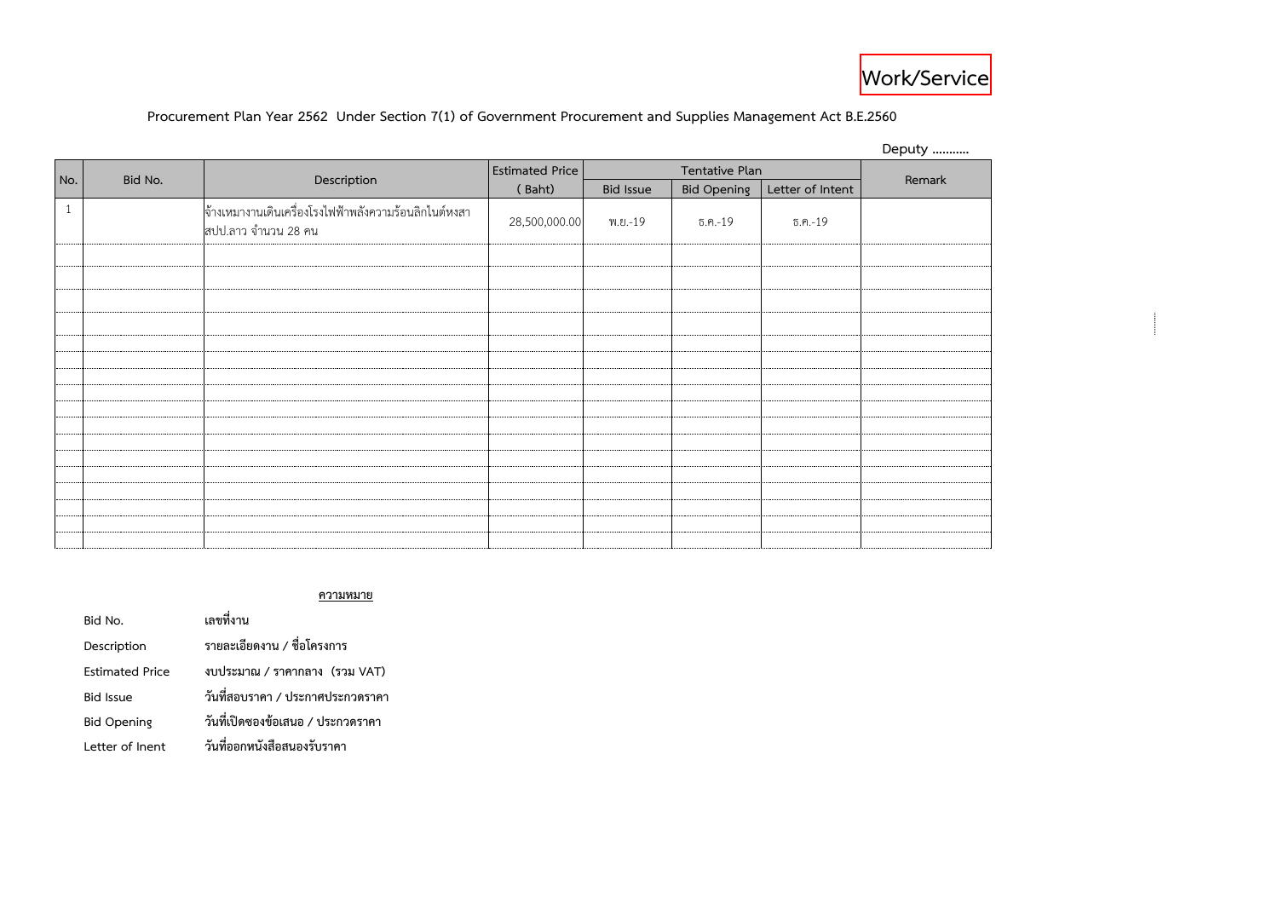## **Procurement Plan Year 2562 Under Section 7(1) of Government Procurement and Supplies Management Act B.E.2560**

|              |         |                                                                              |                        |                  |                    |                  | Deputy |
|--------------|---------|------------------------------------------------------------------------------|------------------------|------------------|--------------------|------------------|--------|
|              |         |                                                                              | <b>Estimated Price</b> | Tentative Plan   |                    |                  |        |
| No.          | Bid No. | Description                                                                  | (Baht)                 | <b>Bid Issue</b> | <b>Bid Opening</b> | Letter of Intent | Remark |
| $\mathbf{1}$ |         | จ้างเหมางานเดินเครื่องโรงไฟฟ้าพลังความร้อนลิกไนต์หงสา<br>สปป.ลาว จำนวน 28 คน | 28,500,000.00          | พ.ย.-19          | $5.9 - 19$         | ธ.ค.-19          |        |
|              |         |                                                                              |                        |                  |                    |                  |        |
|              |         |                                                                              |                        |                  |                    |                  |        |
|              |         |                                                                              |                        |                  |                    |                  |        |
|              |         |                                                                              |                        |                  |                    |                  |        |
|              |         |                                                                              |                        |                  |                    |                  |        |
|              |         |                                                                              |                        |                  |                    |                  |        |
|              |         |                                                                              |                        |                  |                    |                  |        |
|              |         |                                                                              |                        |                  |                    |                  |        |
|              |         |                                                                              |                        |                  |                    |                  |        |
|              |         |                                                                              |                        |                  |                    |                  |        |
|              |         |                                                                              |                        |                  |                    |                  |        |
|              |         |                                                                              |                        |                  |                    |                  |        |
|              |         |                                                                              |                        |                  |                    |                  |        |
|              |         |                                                                              |                        |                  |                    |                  |        |
|              |         |                                                                              |                        |                  |                    |                  |        |

### **ความหมาย**

| Bid No.                | เลขที่งาน                         |  |  |  |  |  |
|------------------------|-----------------------------------|--|--|--|--|--|
| Description            | รายละเอียดงาน / ชื่อโครงการ       |  |  |  |  |  |
| <b>Estimated Price</b> | งบประมาณ / ราคากลาง (รวม VAT)     |  |  |  |  |  |
| <b>Bid Issue</b>       | วันที่สอบราคา / ประกาศประกวดราคา  |  |  |  |  |  |
| <b>Bid Opening</b>     | วันที่เปิดซองข้อเสนอ / ประกวดราคา |  |  |  |  |  |
| Letter of Inent        | วันที่ออกหนังสือสนองรับราคา       |  |  |  |  |  |

 $\overline{a}$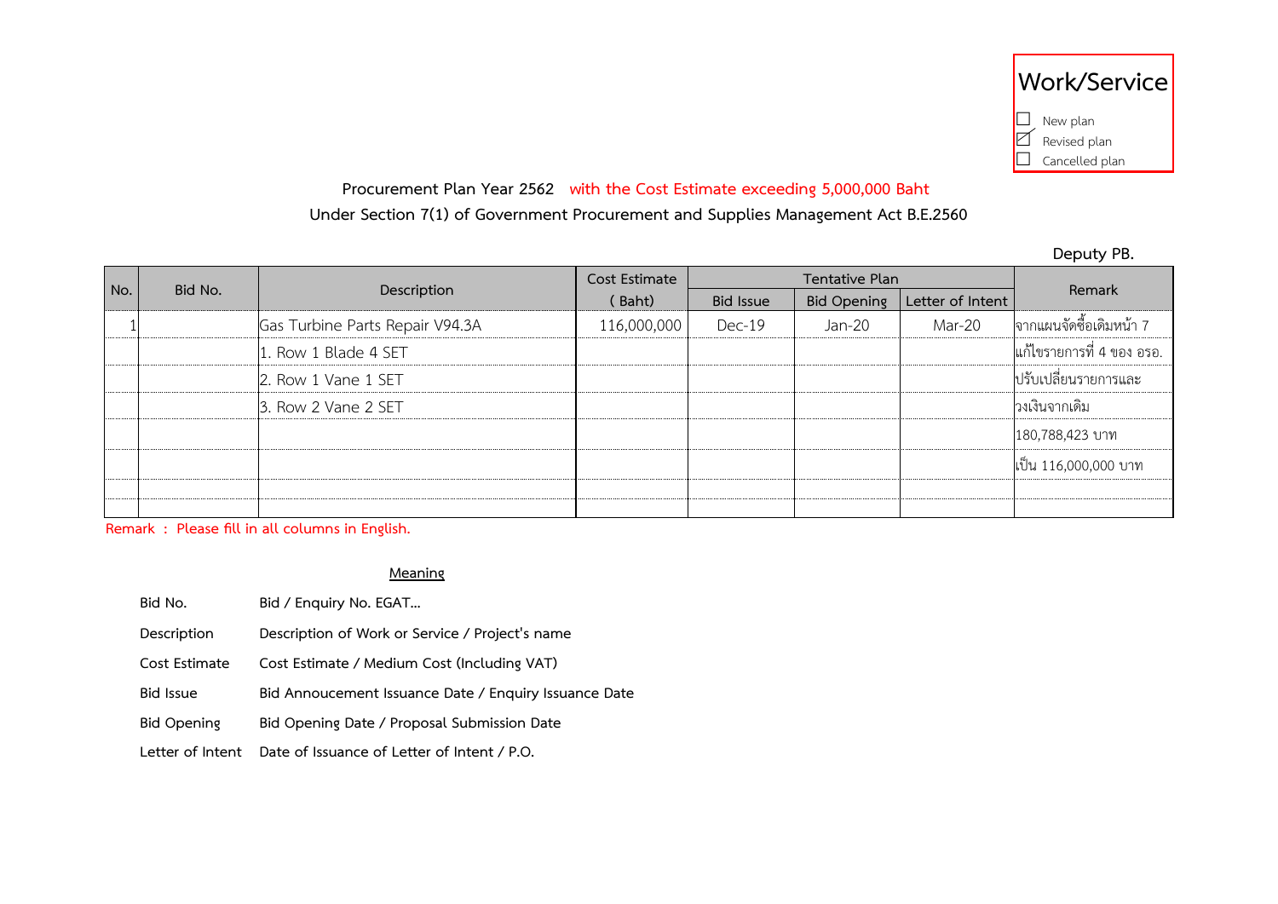|  | Work/Service    |
|--|-----------------|
|  | $\Box$ New plan |
|  | Revised plan    |
|  | Cancelled plan  |

# **Procurement Plan Year 2562 with the Cost Estimate exceeding 5,000,000 Baht**

**Under Section 7(1) of Government Procurement and Supplies Management Act B.E.2560**

**Deputy PB.**

|     |         | Description                     | Cost Estimate |                  |                    |                  |                           |
|-----|---------|---------------------------------|---------------|------------------|--------------------|------------------|---------------------------|
| No. | Bid No. |                                 | (Baht)        | <b>Bid Issue</b> | <b>Bid Opening</b> | Letter of Intent | Remark                    |
|     |         | Gas Turbine Parts Repair V94.3A | 116,000,000   | $Dec-19$         | Jan-20             | Mar-20           | ่จากแผนจัดซื้อเดิมหน้า 7  |
|     |         | 1. Row 1 Blade 4 SET            |               |                  |                    |                  | แก้ไขรายการที่ 4 ของ อรอ. |
|     |         | 2. Row 1 Vane 1 SET             |               |                  |                    |                  | ่ ปรับเปลี่ยนรายการและ    |
|     |         | 3. Row 2 Vane 2 SET             |               |                  |                    |                  | วงเงินจากเดิม             |
|     |         |                                 |               |                  |                    |                  | 180,788,423 บาท           |
|     |         |                                 |               |                  |                    |                  | เป็น 116,000,000 บาท      |
|     |         |                                 |               |                  |                    |                  |                           |
|     |         |                                 |               |                  |                    |                  |                           |

**Remark : Please fill in all columns in English.**

### **Meaning**

- **Bid No. Bid / Enquiry No. EGAT… Description Description of Work or Service / Project's name Cost Estimate Cost Estimate / Medium Cost (Including VAT) Bid Issue Bid Annoucement Issuance Date / Enquiry Issuance Date Bid Opening Bid Opening Date / Proposal Submission Date**
- **Letter of Intent Date of Issuance of Letter of Intent / P.O.**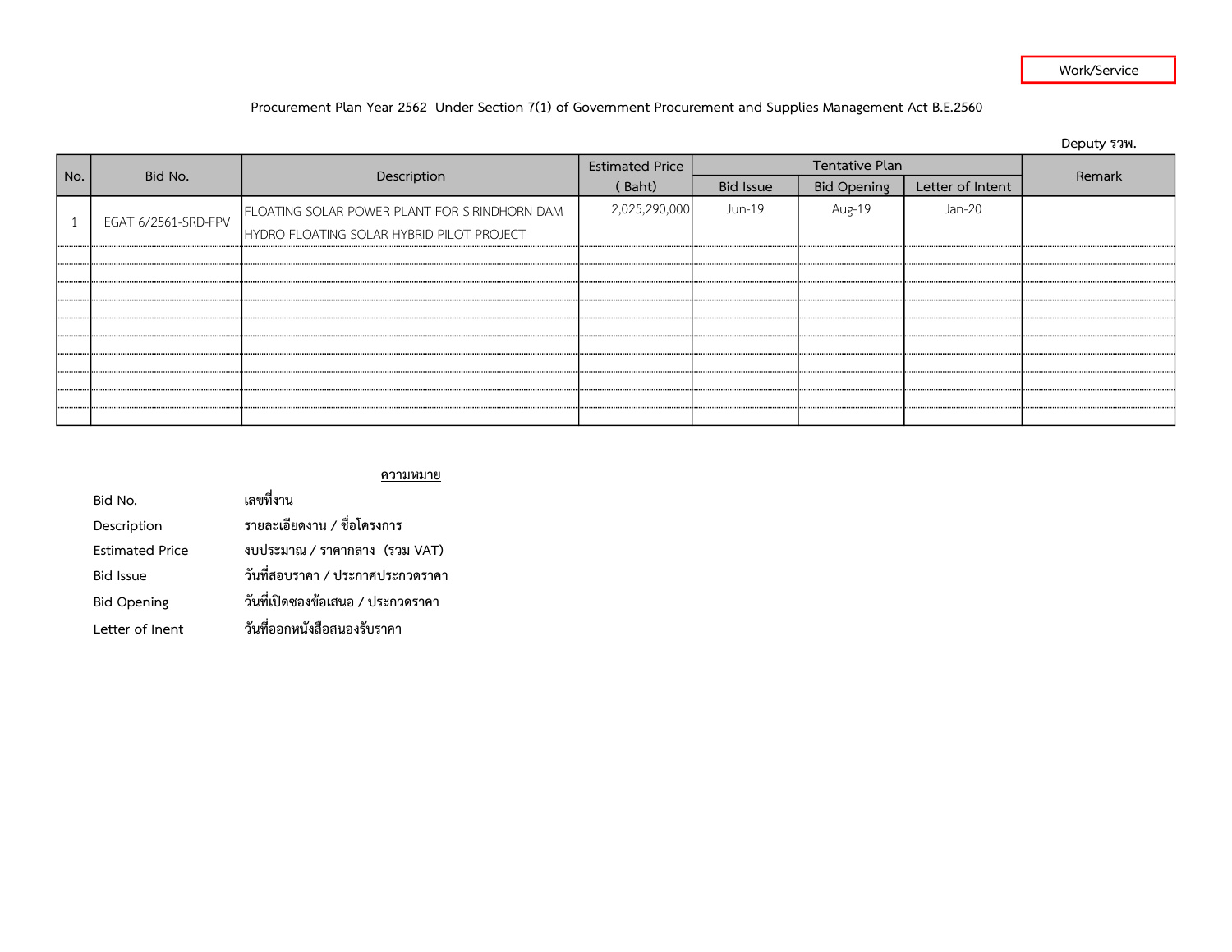### Work/Service

### Procurement Plan Year 2562 Under Section 7(1) of Government Procurement and Supplies Management Act B.E.2560

|     |                     |                                               |                        |                  |                    |                  | Deputy รวพ. |
|-----|---------------------|-----------------------------------------------|------------------------|------------------|--------------------|------------------|-------------|
|     | Bid No.             |                                               | <b>Estimated Price</b> |                  | Tentative Plan     |                  | Remark      |
| No. |                     | Description                                   | (Baht)                 | <b>Bid Issue</b> | <b>Bid Opening</b> | Letter of Intent |             |
|     | EGAT 6/2561-SRD-FPV | FLOATING SOLAR POWER PLANT FOR SIRINDHORN DAM | 2,025,290,000          | Jun-19           | Aug-19             | Jan-20           |             |
|     |                     | HYDRO FLOATING SOLAR HYBRID PILOT PROJECT     |                        |                  |                    |                  |             |
|     |                     |                                               |                        |                  |                    |                  |             |
|     |                     |                                               |                        |                  |                    |                  |             |
|     |                     |                                               |                        |                  |                    |                  |             |
|     |                     |                                               |                        |                  |                    |                  |             |
|     |                     |                                               |                        |                  |                    |                  |             |
|     |                     |                                               |                        |                  |                    |                  |             |
|     |                     |                                               |                        |                  |                    |                  |             |
|     |                     |                                               |                        |                  |                    |                  |             |
|     |                     |                                               |                        |                  |                    |                  |             |
|     |                     |                                               |                        |                  |                    |                  |             |

### ความหมาย

| Bid No.                | เลขที่งาน                         |  |  |  |  |
|------------------------|-----------------------------------|--|--|--|--|
| Description            | รายละเอียดงาน / ชื่อโครงการ       |  |  |  |  |
| <b>Estimated Price</b> | งบประมาณ / ราคากลาง (รวม VAT)     |  |  |  |  |
| <b>Bid Issue</b>       | วันที่สอบราคา / ประกาศประกวดราคา  |  |  |  |  |
| <b>Bid Opening</b>     | วันที่เปิดซองข้อเสนอ / ประกวดราคา |  |  |  |  |
| Letter of Inent        | วันที่ออกหนังสือสนองรับราคา       |  |  |  |  |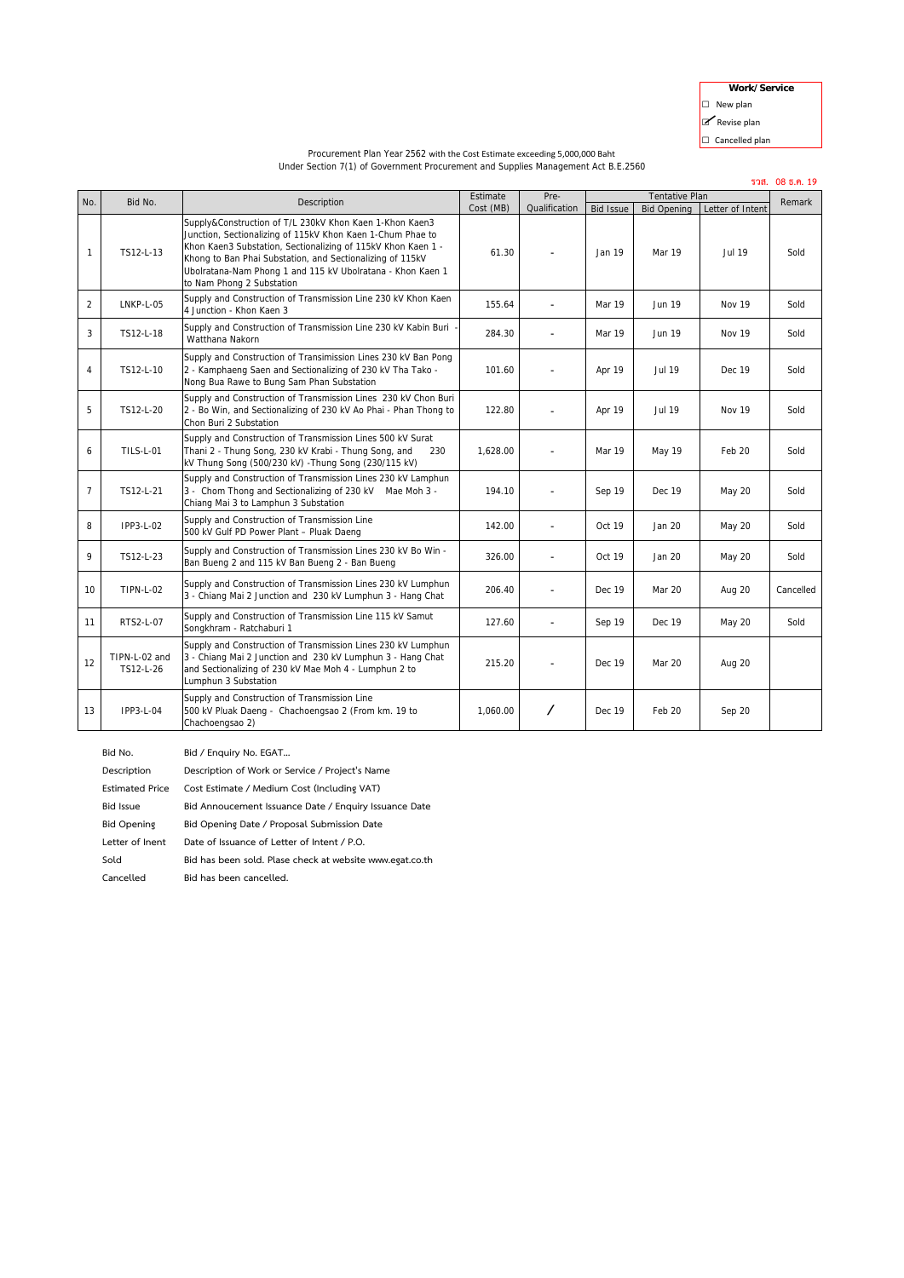**Work/Service**

 $\Box$  New plan

■ Revise plan

 $\Box$  Cancelled plan

### Procurement Plan Year 2562 with the Cost Estimate exceeding 5,000,000 Baht Under Section 7(1) of Government Procurement and Supplies Management Act B.E.2560

|                |                            |                                                                                                                                                                                                                                                                                                                                               |           |                |                  | รวส. 08 ธ.ค. 19       |                  |           |
|----------------|----------------------------|-----------------------------------------------------------------------------------------------------------------------------------------------------------------------------------------------------------------------------------------------------------------------------------------------------------------------------------------------|-----------|----------------|------------------|-----------------------|------------------|-----------|
| No.            | Bid No.                    | Description                                                                                                                                                                                                                                                                                                                                   | Estimate  | Pre-           |                  | <b>Tentative Plan</b> |                  | Remark    |
|                |                            |                                                                                                                                                                                                                                                                                                                                               | Cost (MB) | Qualification  | <b>Bid Issue</b> | <b>Bid Opening</b>    | Letter of Intent |           |
| $\mathbf{1}$   | TS12-L-13                  | Supply&Construction of T/L 230kV Khon Kaen 1-Khon Kaen3<br>Junction, Sectionalizing of 115kV Khon Kaen 1-Chum Phae to<br>Khon Kaen3 Substation, Sectionalizing of 115kV Khon Kaen 1 -<br>Khong to Ban Phai Substation, and Sectionalizing of 115kV<br>Ubolratana-Nam Phong 1 and 115 kV Ubolratana - Khon Kaen 1<br>to Nam Phong 2 Substation | 61.30     |                | Jan 19           | Mar 19                | Jul 19           | Sold      |
| $\overline{2}$ | LNKP-L-05                  | Supply and Construction of Transmission Line 230 kV Khon Kaen<br>4 Junction - Khon Kaen 3                                                                                                                                                                                                                                                     | 155.64    | $\blacksquare$ | Mar 19           | Jun 19                | <b>Nov 19</b>    | Sold      |
| 3              | TS12-L-18                  | Supply and Construction of Transmission Line 230 kV Kabin Buri<br>Watthana Nakorn                                                                                                                                                                                                                                                             | 284.30    |                | Mar 19           | Jun 19                | Nov 19           | Sold      |
| 4              | TS12-L-10                  | Supply and Construction of Transimission Lines 230 kV Ban Pong<br>2 - Kamphaeng Saen and Sectionalizing of 230 kV Tha Tako -<br>Nong Bua Rawe to Bung Sam Phan Substation                                                                                                                                                                     | 101.60    |                | Apr 19           | <b>Jul 19</b>         | Dec 19           | Sold      |
| 5              | TS12-L-20                  | Supply and Construction of Transmission Lines 230 kV Chon Buri<br>2 - Bo Win, and Sectionalizing of 230 kV Ao Phai - Phan Thong to<br>Chon Buri 2 Substation                                                                                                                                                                                  | 122.80    | $\blacksquare$ | Apr 19           | <b>Jul 19</b>         | <b>Nov 19</b>    | Sold      |
| 6              | <b>TILS-L-01</b>           | Supply and Construction of Transmission Lines 500 kV Surat<br>Thani 2 - Thung Song, 230 kV Krabi - Thung Song, and<br>230<br>kV Thung Song (500/230 kV) - Thung Song (230/115 kV)                                                                                                                                                             | 1.628.00  |                | Mar 19           | May 19                | Feb 20           | Sold      |
| $\overline{7}$ | TS12-L-21                  | Supply and Construction of Transmission Lines 230 kV Lamphun<br>3 - Chom Thong and Sectionalizing of 230 kV Mae Moh 3 -<br>Chiang Mai 3 to Lamphun 3 Substation                                                                                                                                                                               | 194.10    |                | Sep 19           | Dec 19                | May 20           | Sold      |
| 8              | IPP3-L-02                  | Supply and Construction of Transmission Line<br>500 kV Gulf PD Power Plant - Pluak Daeng                                                                                                                                                                                                                                                      | 142.00    |                | Oct 19           | Jan 20                | May 20           | Sold      |
| 9              | TS12-L-23                  | Supply and Construction of Transmission Lines 230 kV Bo Win -<br>Ban Bueng 2 and 115 kV Ban Bueng 2 - Ban Bueng                                                                                                                                                                                                                               | 326.00    |                | Oct 19           | Jan 20                | May 20           | Sold      |
| 10             | <b>TIPN-L-02</b>           | Supply and Construction of Transmission Lines 230 kV Lumphun<br>3 - Chiang Mai 2 Junction and 230 kV Lumphun 3 - Hang Chat                                                                                                                                                                                                                    | 206.40    | $\blacksquare$ | Dec 19           | Mar 20                | Aug 20           | Cancelled |
| 11             | RTS2-L-07                  | Supply and Construction of Transmission Line 115 kV Samut<br>Songkhram - Ratchaburi 1                                                                                                                                                                                                                                                         | 127.60    | ä,             | Sep 19           | Dec 19                | May 20           | Sold      |
| 12             | TIPN-L-02 and<br>TS12-L-26 | Supply and Construction of Transmission Lines 230 kV Lumphun<br>3 - Chiang Mai 2 Junction and 230 kV Lumphun 3 - Hang Chat<br>and Sectionalizing of 230 kV Mae Moh 4 - Lumphun 2 to<br>Lumphun 3 Substation                                                                                                                                   | 215.20    |                | Dec 19           | <b>Mar 20</b>         | Aug 20           |           |
| 13             | IPP3-L-04                  | Supply and Construction of Transmission Line<br>500 kV Pluak Daeng - Chachoengsao 2 (From km. 19 to<br>Chachoengsao 2)                                                                                                                                                                                                                        | 1,060.00  | ∕              | Dec 19           | Feb 20                | Sep 20           |           |

**Bid No. Bid / Enquiry No. EGAT…**

**Description Description of Work or Service / Project's Name**

**Estimated Price Cost Estimate / Medium Cost (Including VAT) Bid Issue Bid Annoucement Issuance Date / Enquiry Issuance Date Bid Opening Bid Opening Date / Proposal Submission Date Letter of Inent Date of Issuance of Letter of Intent / P.O.**

**Sold Bid has been sold. Plase check at website www.egat.co.th**

**Cancelled Bid has been cancelled.**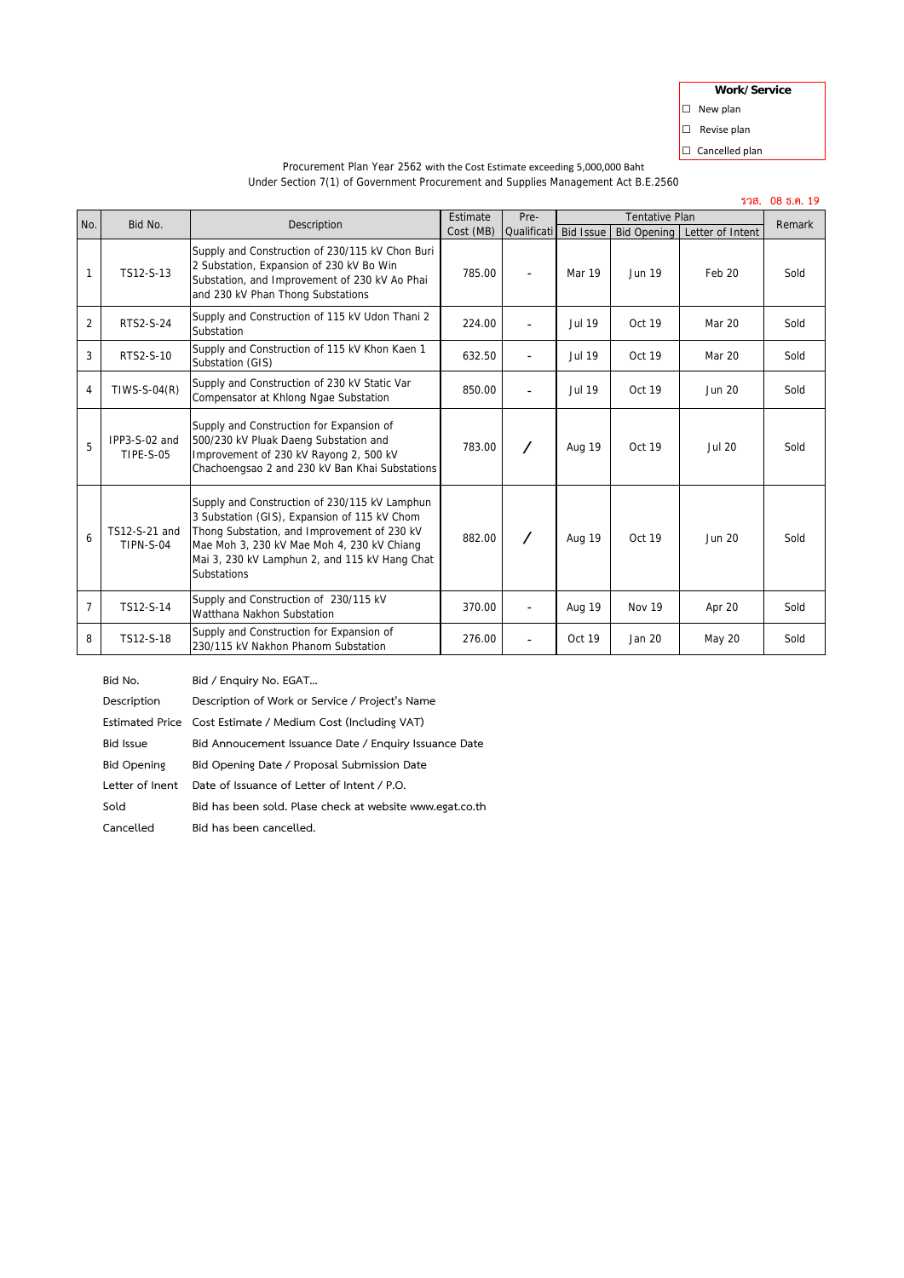| Work/Service   |
|----------------|
| New plan       |
| Revise plan    |
| Cancelled plan |
|                |

 $\vert$ o  $\Box$  $\Box$ 

|                | รวส. 08 ธ.ค. 19                   |                                                                                                                                                                                                                                                                   |                       |                     |                                                                                     |               |               |        |
|----------------|-----------------------------------|-------------------------------------------------------------------------------------------------------------------------------------------------------------------------------------------------------------------------------------------------------------------|-----------------------|---------------------|-------------------------------------------------------------------------------------|---------------|---------------|--------|
| No.            | Bid No.                           | Description                                                                                                                                                                                                                                                       | Estimate<br>Cost (MB) | Pre-<br>Qualificati | <b>Tentative Plan</b><br>Letter of Intent<br><b>Bid Issue</b><br><b>Bid Opening</b> |               |               | Remark |
| $\mathbf{1}$   | TS12-S-13                         | Supply and Construction of 230/115 kV Chon Buri<br>2 Substation, Expansion of 230 kV Bo Win<br>Substation, and Improvement of 230 kV Ao Phai<br>and 230 kV Phan Thong Substations                                                                                 | 785.00                |                     | Mar 19                                                                              | <b>Jun 19</b> | Feb 20        | Sold   |
| $\overline{2}$ | RTS2-S-24                         | Supply and Construction of 115 kV Udon Thani 2<br>Substation                                                                                                                                                                                                      | 224.00                |                     | <b>Jul 19</b>                                                                       | Oct 19        | Mar 20        | Sold   |
| 3              | RTS2-S-10                         | Supply and Construction of 115 kV Khon Kaen 1<br>Substation (GIS)                                                                                                                                                                                                 | 632.50                |                     | <b>Jul 19</b>                                                                       | Oct 19        | Mar 20        | Sold   |
| 4              | $T$ IWS-S-04 $(R)$                | Supply and Construction of 230 kV Static Var<br>Compensator at Khlong Ngae Substation                                                                                                                                                                             | 850.00                | $\blacksquare$      | <b>Jul 19</b>                                                                       | Oct 19        | <b>Jun 20</b> | Sold   |
| 5              | IPP3-S-02 and<br><b>TIPE-S-05</b> | Supply and Construction for Expansion of<br>500/230 kV Pluak Daeng Substation and<br>Improvement of 230 kV Rayong 2, 500 kV<br>Chachoengsao 2 and 230 kV Ban Khai Substations                                                                                     | 783.00                |                     | <b>Aug 19</b>                                                                       | Oct 19        | <b>Jul 20</b> | Sold   |
| 6              | TS12-S-21 and<br><b>TIPN-S-04</b> | Supply and Construction of 230/115 kV Lamphun<br>3 Substation (GIS), Expansion of 115 kV Chom<br>Thong Substation, and Improvement of 230 kV<br>Mae Moh 3, 230 kV Mae Moh 4, 230 kV Chiang<br>Mai 3, 230 kV Lamphun 2, and 115 kV Hang Chat<br><b>Substations</b> | 882.00                |                     | <b>Aug 19</b>                                                                       | Oct 19        | Jun 20        | Sold   |
| $\overline{7}$ | TS12-S-14                         | Supply and Construction of 230/115 kV<br>Watthana Nakhon Substation                                                                                                                                                                                               | 370.00                | ٠                   | <b>Aug 19</b>                                                                       | <b>Nov 19</b> | Apr 20        | Sold   |
| 8              | TS12-S-18                         | Supply and Construction for Expansion of<br>230/115 kV Nakhon Phanom Substation                                                                                                                                                                                   | 276.00                |                     | Oct 19                                                                              | Jan 20        | May 20        | Sold   |

Procurement Plan Year 2562 with the Cost Estimate exceeding 5,000,000 Baht Under Section 7(1) of Government Procurement and Supplies Management Act B.E.2560

**Bid No. Bid / Enquiry No. EGAT… Description Description of Work or Service / Project's Name Estimated Price Cost Estimate / Medium Cost (Including VAT) Bid Issue Bid Annoucement Issuance Date / Enquiry Issuance Date Bid Opening Bid Opening Date / Proposal Submission Date Letter of Inent Date of Issuance of Letter of Intent / P.O. Sold Bid has been sold. Plase check at website www.egat.co.th Cancelled Bid has been cancelled.**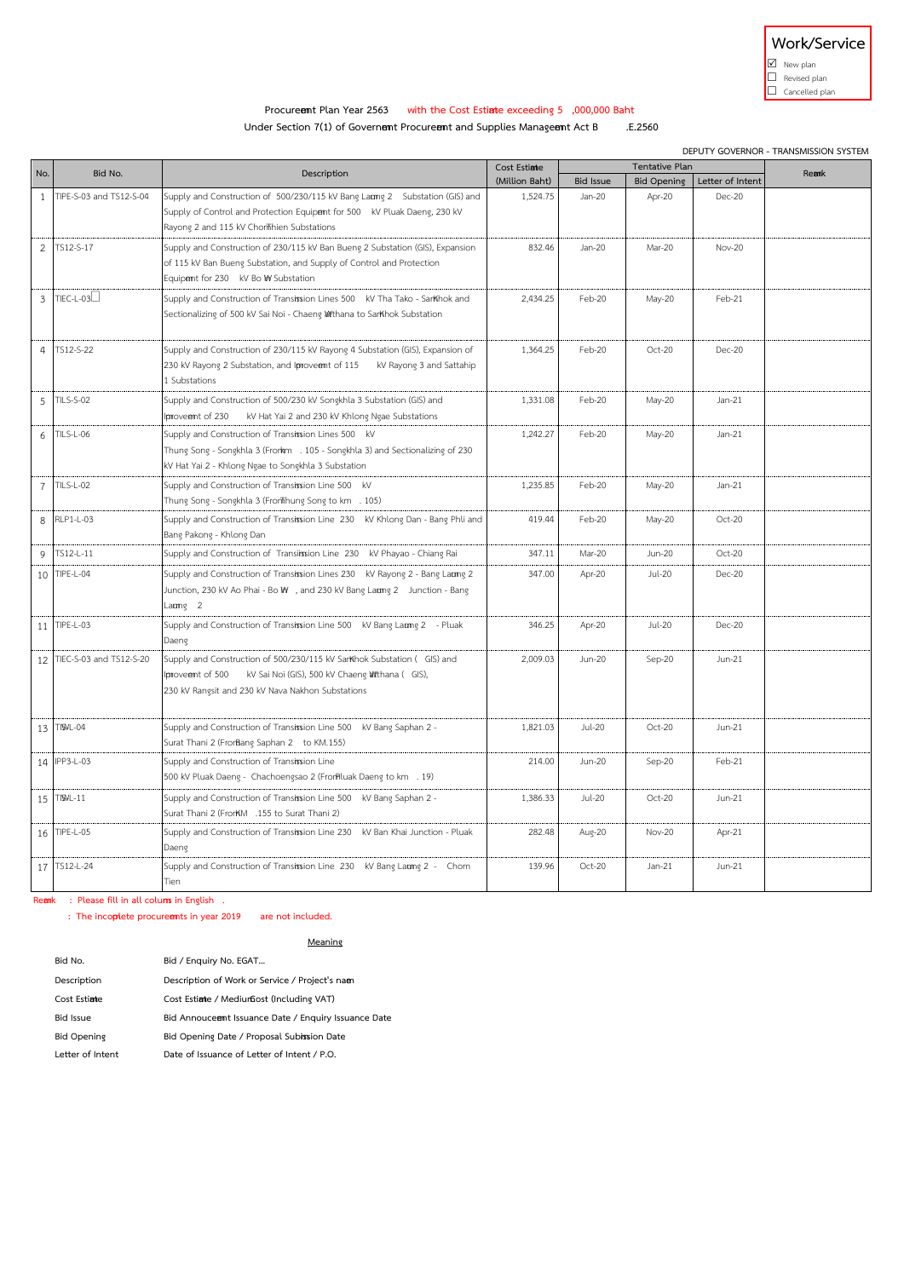

 $\n **W**$  New plan

 $\Box$  Revised plan  $\Box$  Cancelled plan

# Procureent Plan Year 2563 with the Cost Estinte exceeding 5 ,000,000 Baht<br>Ler Section 7(1) of Governent Procureent and Supplies Manageent Act B F.2560

**Under Section 7(1) of Governent Procureent and Supplies Manageent Act B** 

|                | DEPUTY GOVERNOR - TRANSMISSION SYSTEM |                                                                                                                                      |                |                  |                    |                  |       |
|----------------|---------------------------------------|--------------------------------------------------------------------------------------------------------------------------------------|----------------|------------------|--------------------|------------------|-------|
| No.            | Bid No.                               | Description                                                                                                                          | Cost Estiate   | Tentative Plan   |                    |                  | Reamk |
|                |                                       |                                                                                                                                      | (Million Baht) | <b>Bid Issue</b> | <b>Bid Opening</b> | Letter of Intent |       |
| $\mathbf{1}$   | TIPE-S-03 and TS12-S-04               | Supply and Construction of 500/230/115 kV Bang Laumg 2 Substation (GIS) and                                                          | 1.524.75       | Jan-20           | Apr-20             | <b>Dec-20</b>    |       |
|                |                                       | Supply of Control and Protection Equipent for 500 kV Pluak Daeng, 230 kV<br>Rayong 2 and 115 kV Chonlihien Substations               |                |                  |                    |                  |       |
| $\overline{2}$ | TS12-S-17                             | Supply and Construction of 230/115 kV Ban Bueng 2 Substation (GIS), Expansion                                                        | 832.46         | $lan-20$         | Mar-20             | Nov-20           |       |
|                |                                       | of 115 kV Ban Bueng Substation, and Supply of Control and Protection                                                                 |                |                  |                    |                  |       |
|                |                                       | Equipent for 230 kV Bo W Substation                                                                                                  |                |                  |                    |                  |       |
| $\mathbf{3}$   | TIEC-L-03⊥                            | Supply and Construction of Transission Lines 500  KV Tha Tako - SarKhok and                                                          | 2,434.25       | Feb-20           | May-20             | Feb-21           |       |
|                |                                       | Sectionalizing of 500 kV Sai Noi - Chaeng Wtthana to SarKhok Substation                                                              |                |                  |                    |                  |       |
|                |                                       |                                                                                                                                      |                |                  |                    |                  |       |
| $\Delta$       | TS12-S-22                             | Supply and Construction of 230/115 kV Rayong 4 Substation (GIS), Expansion of                                                        | 1.364.25       | Feb-20           | Oct-20             | Dec-20           |       |
|                |                                       | 230 kV Rayong 2 Substation, and Iproveent of 115<br>kV Rayong 3 and Sattahip                                                         |                |                  |                    |                  |       |
|                |                                       | 1 Substations                                                                                                                        |                |                  |                    |                  |       |
| 5              | <b>TILS-S-02</b>                      | Supply and Construction of 500/230 kV Songkhla 3 Substation (GIS) and                                                                | 1,331.08       | Feb-20           | May-20             | $Jan-21$         |       |
|                |                                       | Iproveent of 230<br>kV Hat Yai 2 and 230 kV Khlong Ngae Substations                                                                  |                |                  |                    |                  |       |
| 6              | TILS-L-06                             | Supply and Construction of Transission Lines 500 KV                                                                                  | 1,242.27       | Feb-20           | May-20             | $Jan-21$         |       |
|                |                                       | Thung Song - Songkhla 3 (Frorkm . 105 - Songkhla 3) and Sectionalizing of 230<br>kV Hat Yai 2 - Khlong Ngae to Songkhla 3 Substation |                |                  |                    |                  |       |
| $\overline{7}$ | <b>TILS-L-02</b>                      |                                                                                                                                      | 1,235.85       | Feb-20           |                    | $Jan-21$         |       |
|                |                                       | Supply and Construction of Transission Line 500 KV<br>Thung Song - Songkhla 3 (FronThung Song to km . 105)                           |                |                  | May-20             |                  |       |
| 8              | RLP1-L-03                             | Supply and Construction of Transission Line 230  KV Khlong Dan - Bang Phli and                                                       | 419.44         | Feb-20           | May-20             | Oct-20           |       |
|                |                                       | Bang Pakong - Khlong Dan                                                                                                             |                |                  |                    |                  |       |
| 9              | TS12-L-11                             | Supply and Construction of Transiission Line 230 KV Phayao - Chiang Rai                                                              | 347.11         | Mar-20           | Jun-20             | Oct-20           |       |
| 10             | TIPE-L-04                             | Supply and Construction of Transission Lines 230  KV Rayong 2 - Bang Laumg 2                                                         | 347.00         | Apr-20           | <b>Jul-20</b>      | Dec-20           |       |
|                |                                       | Junction, 230 kV Ao Phai - Bo W , and 230 kV Bang Laumg 2 Junction - Bang                                                            |                |                  |                    |                  |       |
|                |                                       | $Lamq$ 2                                                                                                                             |                |                  |                    |                  |       |
| 11             | TIPE-L-03                             | Supply and Construction of Transission Line 500 KV Bang Laumg 2 - Pluak                                                              | 346.25         | Apr-20           | <b>Jul-20</b>      | Dec-20           |       |
|                |                                       | Daeng                                                                                                                                |                |                  |                    |                  |       |
|                | 12 TIEC-S-03 and TS12-S-20            | Supply and Construction of 500/230/115 kV SarKhok Substation ( GIS) and                                                              | 2,009.03       | Jun-20           | Sep-20             | Jun-21           |       |
|                |                                       | Iproveent of 500<br>kV Sai Noi (GIS), 500 kV Chaeng Wthana (GIS),<br>230 kV Rangsit and 230 kV Nava Nakhon Substations               |                |                  |                    |                  |       |
|                |                                       |                                                                                                                                      |                |                  |                    |                  |       |
| 13             | TISHL-04                              | Supply and Construction of Transission Line 500   KV Bang Saphan 2 -                                                                 | 1,821.03       | <b>Jul-20</b>    | Oct-20             | $Jun-21$         |       |
|                |                                       | Surat Thani 2 (FrorBang Saphan 2 to KM.155)                                                                                          |                |                  |                    |                  |       |
|                | 14 IPP3-L-03                          | Supply and Construction of Transission Line                                                                                          | 214.00         | Jun-20           | Sep-20             | Feb-21           |       |
|                |                                       | 500 kV Pluak Daeng - Chachoengsao 2 (FrorPluak Daeng to km . 19)                                                                     |                |                  |                    |                  |       |
| 15             | TISHL-11                              | Supply and Construction of Transission Line 500   KV Bang Saphan 2 -                                                                 | 1,386.33       | <b>Jul-20</b>    | Oct-20             | $Jun-21$         |       |
|                |                                       | Surat Thani 2 (FrorKM .155 to Surat Thani 2)                                                                                         |                |                  |                    |                  |       |
|                | 16 TIPE-L-05                          | Supply and Construction of Transission Line 230  KV Ban Khai Junction - Pluak                                                        | 282.48         | Aug-20           | <b>Nov-20</b>      | Apr-21           |       |
|                |                                       | Daeng                                                                                                                                |                |                  |                    |                  |       |
| 17             | TS12-L-24                             | Supply and Construction of Transission Line 230 KV Bang Laung 2 - Chom                                                               | 139.96         | Oct-20           | $Jan-21$           | $Jun-21$         |       |
|                |                                       | Tien                                                                                                                                 |                |                  |                    |                  |       |

**Remark** : Please fill in all colums in English .

 **: The incoplete procuremts in year 2019** are not included.

**Meaning**

| Bid No.            | Bid / Enquiry No. EGAT                               |
|--------------------|------------------------------------------------------|
| Description        | Description of Work or Service / Project's nam       |
| Cost Estiate       | Cost Estiate / Mediuriost (Including VAT)            |
| <b>Bid Issue</b>   | Bid Annouceent Issuance Date / Enquiry Issuance Date |
| <b>Bid Opening</b> | Bid Opening Date / Proposal Subission Date           |
| Letter of Intent   | Date of Issuance of Letter of Intent / P.O.          |